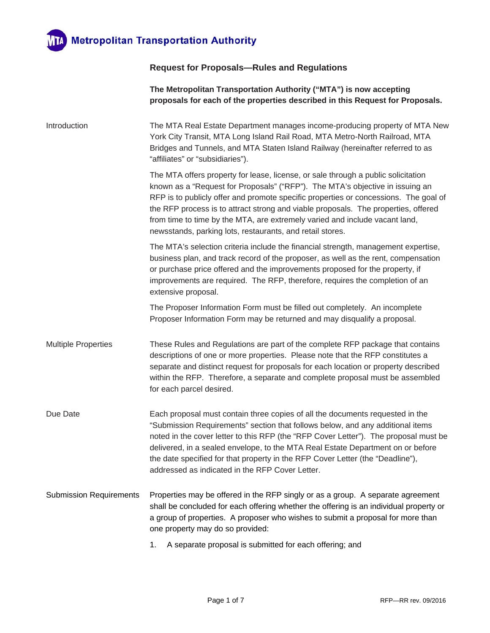

## **Request for Proposals—Rules and Regulations**

|                                | The Metropolitan Transportation Authority ("MTA") is now accepting<br>proposals for each of the properties described in this Request for Proposals.                                                                                                                                                                                                                                                                                                                                          |  |
|--------------------------------|----------------------------------------------------------------------------------------------------------------------------------------------------------------------------------------------------------------------------------------------------------------------------------------------------------------------------------------------------------------------------------------------------------------------------------------------------------------------------------------------|--|
| Introduction                   | The MTA Real Estate Department manages income-producing property of MTA New<br>York City Transit, MTA Long Island Rail Road, MTA Metro-North Railroad, MTA<br>Bridges and Tunnels, and MTA Staten Island Railway (hereinafter referred to as<br>"affiliates" or "subsidiaries").                                                                                                                                                                                                             |  |
|                                | The MTA offers property for lease, license, or sale through a public solicitation<br>known as a "Request for Proposals" ("RFP"). The MTA's objective in issuing an<br>RFP is to publicly offer and promote specific properties or concessions. The goal of<br>the RFP process is to attract strong and viable proposals. The properties, offered<br>from time to time by the MTA, are extremely varied and include vacant land,<br>newsstands, parking lots, restaurants, and retail stores. |  |
|                                | The MTA's selection criteria include the financial strength, management expertise,<br>business plan, and track record of the proposer, as well as the rent, compensation<br>or purchase price offered and the improvements proposed for the property, if<br>improvements are required. The RFP, therefore, requires the completion of an<br>extensive proposal.                                                                                                                              |  |
|                                | The Proposer Information Form must be filled out completely. An incomplete<br>Proposer Information Form may be returned and may disqualify a proposal.                                                                                                                                                                                                                                                                                                                                       |  |
| <b>Multiple Properties</b>     | These Rules and Regulations are part of the complete RFP package that contains<br>descriptions of one or more properties. Please note that the RFP constitutes a<br>separate and distinct request for proposals for each location or property described<br>within the RFP. Therefore, a separate and complete proposal must be assembled<br>for each parcel desired.                                                                                                                         |  |
| Due Date                       | Each proposal must contain three copies of all the documents requested in the<br>"Submission Requirements" section that follows below, and any additional items<br>noted in the cover letter to this RFP (the "RFP Cover Letter"). The proposal must be<br>delivered, in a sealed envelope, to the MTA Real Estate Department on or before<br>the date specified for that property in the RFP Cover Letter (the "Deadline"),<br>addressed as indicated in the RFP Cover Letter.              |  |
| <b>Submission Requirements</b> | Properties may be offered in the RFP singly or as a group. A separate agreement<br>shall be concluded for each offering whether the offering is an individual property or<br>a group of properties. A proposer who wishes to submit a proposal for more than<br>one property may do so provided:                                                                                                                                                                                             |  |
|                                | A separate proposal is submitted for each offering; and<br>1.                                                                                                                                                                                                                                                                                                                                                                                                                                |  |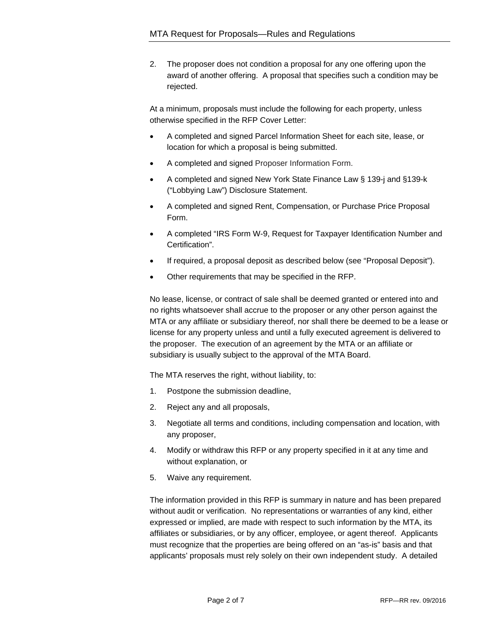2. The proposer does not condition a proposal for any one offering upon the award of another offering. A proposal that specifies such a condition may be rejected.

At a minimum, proposals must include the following for each property, unless otherwise specified in the RFP Cover Letter:

- A completed and signed Parcel Information Sheet for each site, lease, or location for which a proposal is being submitted.
- A completed and signed Proposer Information Form.
- A completed and signed New York State Finance Law § 139-j and §139-k ("Lobbying Law") Disclosure Statement.
- A completed and signed Rent, Compensation, or Purchase Price Proposal Form.
- A completed "IRS Form W-9, Request for Taxpayer Identification Number and Certification".
- If required, a proposal deposit as described below (see "Proposal Deposit").
- Other requirements that may be specified in the RFP.

No lease, license, or contract of sale shall be deemed granted or entered into and no rights whatsoever shall accrue to the proposer or any other person against the MTA or any affiliate or subsidiary thereof, nor shall there be deemed to be a lease or license for any property unless and until a fully executed agreement is delivered to the proposer. The execution of an agreement by the MTA or an affiliate or subsidiary is usually subject to the approval of the MTA Board.

The MTA reserves the right, without liability, to:

- 1. Postpone the submission deadline,
- 2. Reject any and all proposals,
- 3. Negotiate all terms and conditions, including compensation and location, with any proposer,
- 4. Modify or withdraw this RFP or any property specified in it at any time and without explanation, or
- 5. Waive any requirement.

The information provided in this RFP is summary in nature and has been prepared without audit or verification. No representations or warranties of any kind, either expressed or implied, are made with respect to such information by the MTA, its affiliates or subsidiaries, or by any officer, employee, or agent thereof. Applicants must recognize that the properties are being offered on an "as-is" basis and that applicants' proposals must rely solely on their own independent study. A detailed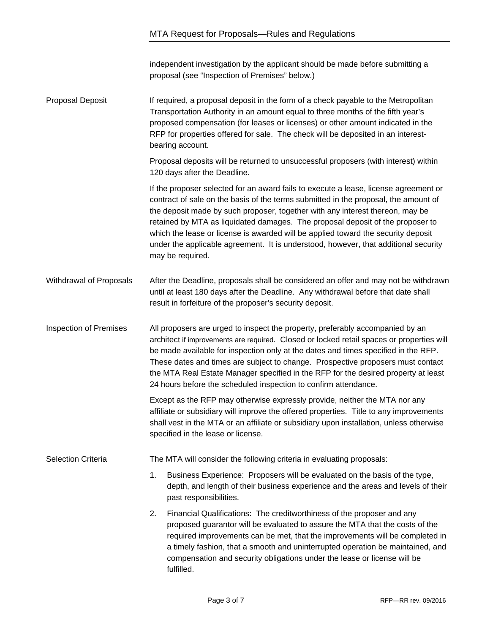independent investigation by the applicant should be made before submitting a proposal (see "Inspection of Premises" below.)

Proposal Deposit If required, a proposal deposit in the form of a check payable to the Metropolitan Transportation Authority in an amount equal to three months of the fifth year's proposed compensation (for leases or licenses) or other amount indicated in the RFP for properties offered for sale. The check will be deposited in an interestbearing account.

> Proposal deposits will be returned to unsuccessful proposers (with interest) within 120 days after the Deadline.

If the proposer selected for an award fails to execute a lease, license agreement or contract of sale on the basis of the terms submitted in the proposal, the amount of the deposit made by such proposer, together with any interest thereon, may be retained by MTA as liquidated damages. The proposal deposit of the proposer to which the lease or license is awarded will be applied toward the security deposit under the applicable agreement. It is understood, however, that additional security may be required.

Withdrawal of Proposals After the Deadline, proposals shall be considered an offer and may not be withdrawn until at least 180 days after the Deadline. Any withdrawal before that date shall result in forfeiture of the proposer's security deposit.

Inspection of Premises All proposers are urged to inspect the property, preferably accompanied by an architect if improvements are required. Closed or locked retail spaces or properties will be made available for inspection only at the dates and times specified in the RFP. These dates and times are subject to change. Prospective proposers must contact the MTA Real Estate Manager specified in the RFP for the desired property at least 24 hours before the scheduled inspection to confirm attendance.

> Except as the RFP may otherwise expressly provide, neither the MTA nor any affiliate or subsidiary will improve the offered properties. Title to any improvements shall vest in the MTA or an affiliate or subsidiary upon installation, unless otherwise specified in the lease or license.

Selection Criteria The MTA will consider the following criteria in evaluating proposals:

1. Business Experience: Proposers will be evaluated on the basis of the type, depth, and length of their business experience and the areas and levels of their past responsibilities.

2. Financial Qualifications: The creditworthiness of the proposer and any proposed guarantor will be evaluated to assure the MTA that the costs of the required improvements can be met, that the improvements will be completed in a timely fashion, that a smooth and uninterrupted operation be maintained, and compensation and security obligations under the lease or license will be fulfilled.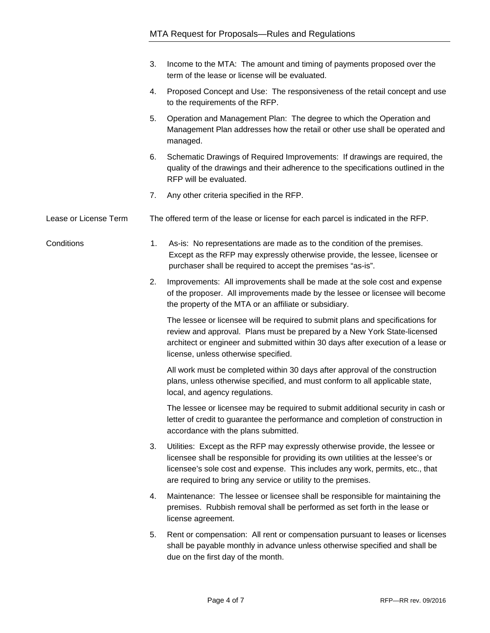|                       | 3. | Income to the MTA: The amount and timing of payments proposed over the<br>term of the lease or license will be evaluated.                                                                                                                                                                                         |
|-----------------------|----|-------------------------------------------------------------------------------------------------------------------------------------------------------------------------------------------------------------------------------------------------------------------------------------------------------------------|
|                       | 4. | Proposed Concept and Use: The responsiveness of the retail concept and use<br>to the requirements of the RFP.                                                                                                                                                                                                     |
|                       | 5. | Operation and Management Plan: The degree to which the Operation and<br>Management Plan addresses how the retail or other use shall be operated and<br>managed.                                                                                                                                                   |
|                       | 6. | Schematic Drawings of Required Improvements: If drawings are required, the<br>quality of the drawings and their adherence to the specifications outlined in the<br>RFP will be evaluated.                                                                                                                         |
|                       | 7. | Any other criteria specified in the RFP.                                                                                                                                                                                                                                                                          |
| Lease or License Term |    | The offered term of the lease or license for each parcel is indicated in the RFP.                                                                                                                                                                                                                                 |
| Conditions            | 1. | As-is: No representations are made as to the condition of the premises.<br>Except as the RFP may expressly otherwise provide, the lessee, licensee or<br>purchaser shall be required to accept the premises "as-is".                                                                                              |
|                       | 2. | Improvements: All improvements shall be made at the sole cost and expense<br>of the proposer. All improvements made by the lessee or licensee will become<br>the property of the MTA or an affiliate or subsidiary.                                                                                               |
|                       |    | The lessee or licensee will be required to submit plans and specifications for<br>review and approval. Plans must be prepared by a New York State-licensed<br>architect or engineer and submitted within 30 days after execution of a lease or<br>license, unless otherwise specified.                            |
|                       |    | All work must be completed within 30 days after approval of the construction<br>plans, unless otherwise specified, and must conform to all applicable state,<br>local, and agency regulations.                                                                                                                    |
|                       |    | The lessee or licensee may be required to submit additional security in cash or<br>letter of credit to guarantee the performance and completion of construction in<br>accordance with the plans submitted.                                                                                                        |
|                       | 3. | Utilities: Except as the RFP may expressly otherwise provide, the lessee or<br>licensee shall be responsible for providing its own utilities at the lessee's or<br>licensee's sole cost and expense. This includes any work, permits, etc., that<br>are required to bring any service or utility to the premises. |
|                       | 4. | Maintenance: The lessee or licensee shall be responsible for maintaining the<br>premises. Rubbish removal shall be performed as set forth in the lease or<br>license agreement.                                                                                                                                   |
|                       | 5. | Rent or compensation: All rent or compensation pursuant to leases or licenses<br>shall be payable monthly in advance unless otherwise specified and shall be<br>due on the first day of the month.                                                                                                                |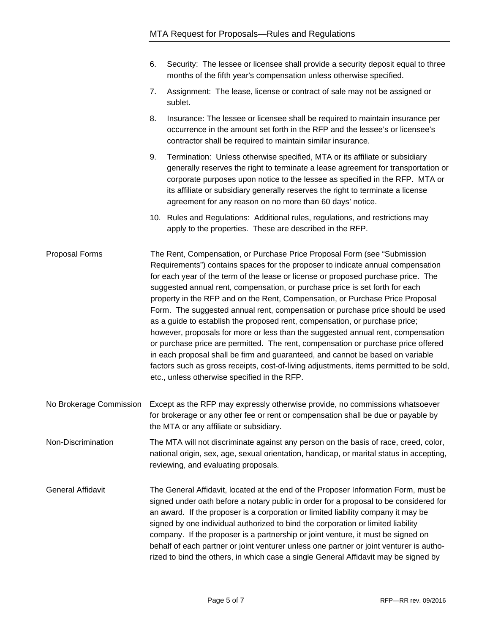- 6. Security: The lessee or licensee shall provide a security deposit equal to three months of the fifth year's compensation unless otherwise specified.
- 7. Assignment: The lease, license or contract of sale may not be assigned or sublet.
- 8. Insurance: The lessee or licensee shall be required to maintain insurance per occurrence in the amount set forth in the RFP and the lessee's or licensee's contractor shall be required to maintain similar insurance.
- 9. Termination: Unless otherwise specified, MTA or its affiliate or subsidiary generally reserves the right to terminate a lease agreement for transportation or corporate purposes upon notice to the lessee as specified in the RFP. MTA or its affiliate or subsidiary generally reserves the right to terminate a license agreement for any reason on no more than 60 days' notice.
- 10. Rules and Regulations: Additional rules, regulations, and restrictions may apply to the properties. These are described in the RFP.

Proposal Forms The Rent, Compensation, or Purchase Price Proposal Form (see "Submission Requirements") contains spaces for the proposer to indicate annual compensation for each year of the term of the lease or license or proposed purchase price. The suggested annual rent, compensation, or purchase price is set forth for each property in the RFP and on the Rent, Compensation, or Purchase Price Proposal Form. The suggested annual rent, compensation or purchase price should be used as a guide to establish the proposed rent, compensation, or purchase price; however, proposals for more or less than the suggested annual rent, compensation or purchase price are permitted. The rent, compensation or purchase price offered in each proposal shall be firm and guaranteed, and cannot be based on variable factors such as gross receipts, cost-of-living adjustments, items permitted to be sold, etc., unless otherwise specified in the RFP.

No Brokerage Commission Except as the RFP may expressly otherwise provide, no commissions whatsoever for brokerage or any other fee or rent or compensation shall be due or payable by the MTA or any affiliate or subsidiary.

Non-Discrimination The MTA will not discriminate against any person on the basis of race, creed, color, national origin, sex, age, sexual orientation, handicap, or marital status in accepting, reviewing, and evaluating proposals.

General Affidavit The General Affidavit, located at the end of the Proposer Information Form, must be signed under oath before a notary public in order for a proposal to be considered for an award. If the proposer is a corporation or limited liability company it may be signed by one individual authorized to bind the corporation or limited liability company. If the proposer is a partnership or joint venture, it must be signed on behalf of each partner or joint venturer unless one partner or joint venturer is authorized to bind the others, in which case a single General Affidavit may be signed by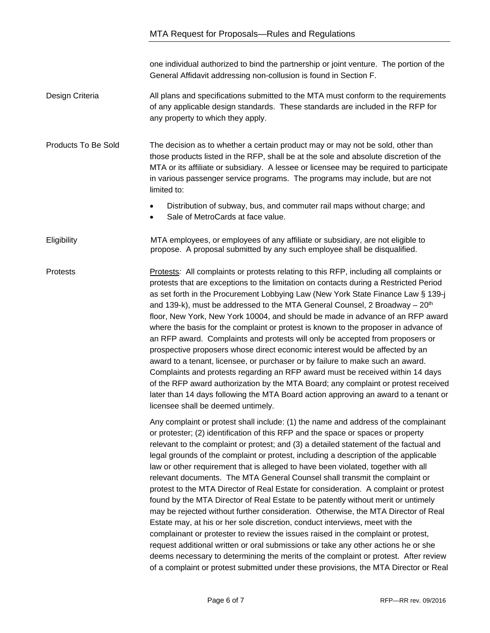one individual authorized to bind the partnership or joint venture. The portion of the General Affidavit addressing non-collusion is found in Section F.

## Design Criteria All plans and specifications submitted to the MTA must conform to the requirements of any applicable design standards. These standards are included in the RFP for any property to which they apply.

Products To Be Sold The decision as to whether a certain product may or may not be sold, other than those products listed in the RFP, shall be at the sole and absolute discretion of the MTA or its affiliate or subsidiary. A lessee or licensee may be required to participate in various passenger service programs. The programs may include, but are not limited to:

- Distribution of subway, bus, and commuter rail maps without charge; and
- Sale of MetroCards at face value.

Eligibility MTA employees, or employees of any affiliate or subsidiary, are not eligible to propose. A proposal submitted by any such employee shall be disqualified.

Protests Protests*:* All complaints or protests relating to this RFP, including all complaints or protests that are exceptions to the limitation on contacts during a Restricted Period as set forth in the Procurement Lobbying Law (New York State Finance Law § 139-j and 139-k), must be addressed to the MTA General Counsel, 2 Broadway –  $20<sup>th</sup>$ floor, New York, New York 10004, and should be made in advance of an RFP award where the basis for the complaint or protest is known to the proposer in advance of an RFP award. Complaints and protests will only be accepted from proposers or prospective proposers whose direct economic interest would be affected by an award to a tenant, licensee, or purchaser or by failure to make such an award. Complaints and protests regarding an RFP award must be received within 14 days of the RFP award authorization by the MTA Board; any complaint or protest received later than 14 days following the MTA Board action approving an award to a tenant or licensee shall be deemed untimely.

> Any complaint or protest shall include: (1) the name and address of the complainant or protester; (2) identification of this RFP and the space or spaces or property relevant to the complaint or protest; and (3) a detailed statement of the factual and legal grounds of the complaint or protest, including a description of the applicable law or other requirement that is alleged to have been violated, together with all relevant documents. The MTA General Counsel shall transmit the complaint or protest to the MTA Director of Real Estate for consideration. A complaint or protest found by the MTA Director of Real Estate to be patently without merit or untimely may be rejected without further consideration. Otherwise, the MTA Director of Real Estate may, at his or her sole discretion, conduct interviews, meet with the complainant or protester to review the issues raised in the complaint or protest, request additional written or oral submissions or take any other actions he or she deems necessary to determining the merits of the complaint or protest. After review of a complaint or protest submitted under these provisions, the MTA Director or Real